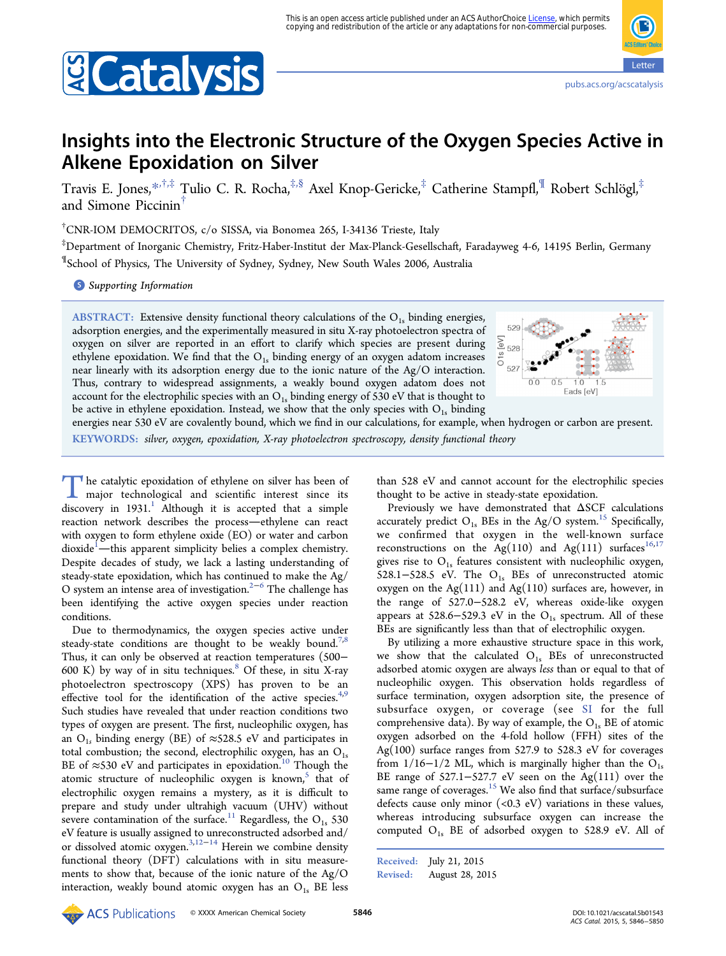# **E** Catalysis

# Insights into the Electronic Structure of the Oxygen Species Active in Alkene Epoxidation on Silver

Travis E. Jones, $^{*,\dagger,\ddagger}$  $^{*,\dagger,\ddagger}$  $^{*,\dagger,\ddagger}$  Tulio C. R. Rocha, $^{*,\S}$  Axel Knop-Gericke, $^\ddagger$  Catherine Stampfl, $^\P$  Robert Schlögl, $^\ddagger$ and Simone Piccinin†

† CNR-IOM DEMOCRITOS, c/o SISSA, via Bonomea 265, I-34136 Trieste, Italy

‡ Department of Inorganic Chemistry, Fritz-Haber-Institut der Max-Planck-Gesellschaft, Faradayweg 4-6, 14195 Berlin, Germany ¶ School of Physics, The University of Sydney, Sydney, New South Wales 2006, Australia

**S** [Supporting Information](#page-3-0)

ABSTRACT: Extensive density functional theory calculations of the  $O_{1s}$  binding energies, adsorption energies, and the experimentally measured in situ X-ray photoelectron spectra of oxygen on silver are reported in an effort to clarify which species are present during ethylene epoxidation. We find that the  $O<sub>1s</sub>$  binding energy of an oxygen adatom increases near linearly with its adsorption energy due to the ionic nature of the Ag/O interaction. Thus, contrary to widespread assignments, a weakly bound oxygen adatom does not account for the electrophilic species with an  $O_{1s}$  binding energy of 530 eV that is thought to be active in ethylene epoxidation. Instead, we show that the only species with  $O_{1s}$  binding



energies near 530 eV are covalently bound, which we find in our calculations, for example, when hydrogen or carbon are present.

KEYWORDS: silver, oxygen, epoxidation, X-ray photoelectron spectroscopy, density functional theory

The catalytic epoxidation of ethylene on silver has been of<br>major technological and scientific interest since its<br>discovery in 1931<sup>1</sup> Although it is accounted that a simple discovery in  $1931$ .<sup>1</sup> Although it is accepted that a simple reaction network describes the process-ethylene can react with oxygen to form ethylene oxide (EO) or water and carbon dioxide<sup>[1](#page-3-0)</sup>—this apparent simplicity belies a complex chemistry. Despite decades of study, we lack a lasting understanding of steady-state epoxidation, which has continued to make the Ag/ O system an intense area of investigation.<sup>[2](#page-3-0)−[6](#page-4-0)</sup> The challenge has been identifying the active oxygen species under reaction conditions.

Due to thermodynamics, the oxygen species active under steady-state conditions are thought to be weakly bound.<sup>[7,8](#page-4-0)</sup> Thus, it can only be observed at reaction temperatures (500− 600 K) by way of in situ techniques. $8$  Of these, in situ X-ray photoelectron spectroscopy (XPS) has proven to be an effective tool for the identification of the active species.<sup> $4,9$  $4,9$ </sup> Such studies have revealed that under reaction conditions two types of oxygen are present. The first, nucleophilic oxygen, has an O<sub>1s</sub> binding energy (BE) of  $\approx$ 528.5 eV and participates in total combustion; the second, electrophilic oxygen, has an  $O_{1s}$ BE of  $\approx$ 530 eV and participates in epoxidation.<sup>[10](#page-4-0)</sup> Though the atomic structure of nucleophilic oxygen is known, $5$  that of electrophilic oxygen remains a mystery, as it is difficult to prepare and study under ultrahigh vacuum (UHV) without severe contamination of the surface.<sup>[11](#page-4-0)</sup> Regardless, the O<sub>1s</sub> 530 eV feature is usually assigned to unreconstructed adsorbed and/ or dissolved atomic oxygen.<sup>[3,](#page-3-0)[12](#page-4-0)-[14](#page-4-0)</sup> Herein we combine density functional theory (DFT) calculations with in situ measurements to show that, because of the ionic nature of the Ag/O interaction, weakly bound atomic oxygen has an  $O_{1s}$  BE less

than 528 eV and cannot account for the electrophilic species thought to be active in steady-state epoxidation.

Previously we have demonstrated that ΔSCF calculations accurately predict  $O_{1s}$  BEs in the Ag/O system.<sup>[15](#page-4-0)</sup> Specifically, we confirmed that oxygen in the well-known surface reconstructions on the Ag(110) and Ag(111) surfaces<sup>[16,17](#page-4-0)</sup> gives rise to  $O_{1s}$  features consistent with nucleophilic oxygen, 528.1−528.5 eV. The  $O<sub>1s</sub>$  BEs of unreconstructed atomic oxygen on the Ag(111) and Ag(110) surfaces are, however, in the range of 527.0−528.2 eV, whereas oxide-like oxygen appears at  $528.6 - 529.3$  eV in the O<sub>1s</sub> spectrum. All of these BEs are significantly less than that of electrophilic oxygen.

By utilizing a more exhaustive structure space in this work, we show that the calculated  $O<sub>1s</sub>$  BEs of unreconstructed adsorbed atomic oxygen are always less than or equal to that of nucleophilic oxygen. This observation holds regardless of surface termination, oxygen adsorption site, the presence of subsurface oxygen, or coverage (see [SI](http://pubs.acs.org/doi/suppl/10.1021/acscatal.5b01543/suppl_file/cs5b01543_si_001.pdf) for the full comprehensive data). By way of example, the  $O_{1s}$  BE of atomic oxygen adsorbed on the 4-fold hollow (FFH) sites of the Ag(100) surface ranges from 527.9 to 528.3 eV for coverages from  $1/16-1/2$  ML, which is marginally higher than the O<sub>1s</sub> BE range of 527.1−527.7 eV seen on the Ag(111) over the same range of coverages.<sup>[15](#page-4-0)</sup> We also find that surface/subsurface defects cause only minor  $(<0.3 \text{ eV})$  variations in these values, whereas introducing subsurface oxygen can increase the computed  $O_{1s}$  BE of adsorbed oxygen to 528.9 eV. All of

Received: July 21, 2015 Revised: August 28, 2015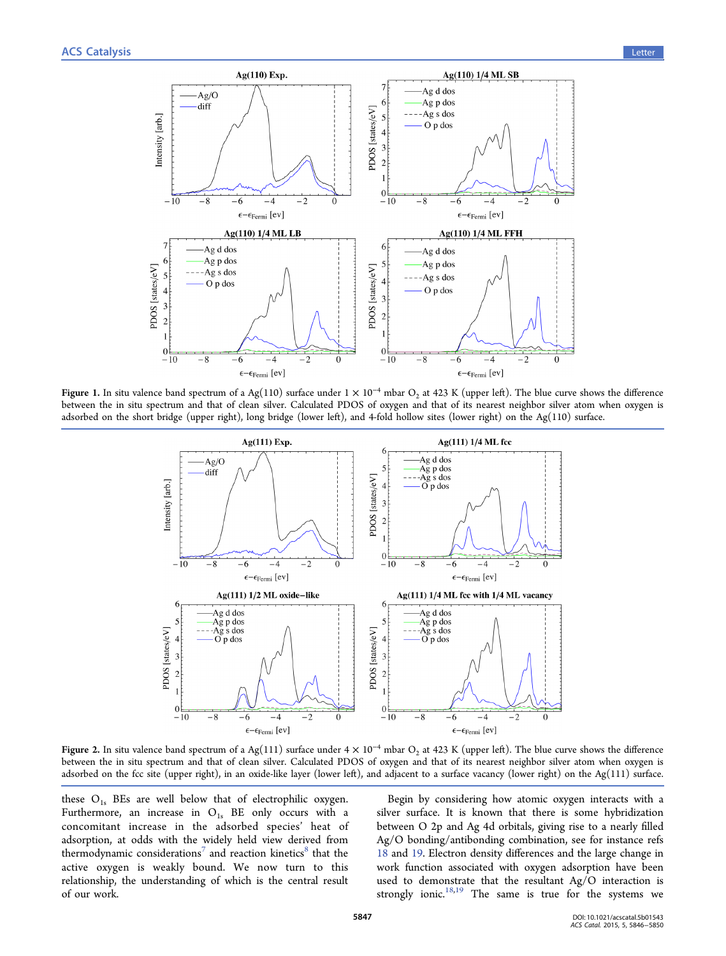<span id="page-1-0"></span>

Figure 1. In situ valence band spectrum of a Ag(110) surface under  $1 \times 10^{-4}$  mbar O<sub>2</sub> at 423 K (upper left). The blue curve shows the difference between the in situ spectrum and that of clean silver. Calculated PDOS of oxygen and that of its nearest neighbor silver atom when oxygen is adsorbed on the short bridge (upper right), long bridge (lower left), and 4-fold hollow sites (lower right) on the Ag(110) surface.



Figure 2. In situ valence band spectrum of a Ag(111) surface under  $4 \times 10^{-4}$  mbar O<sub>2</sub> at 423 K (upper left). The blue curve shows the difference between the in situ spectrum and that of clean silver. Calculated PDOS of oxygen and that of its nearest neighbor silver atom when oxygen is adsorbed on the fcc site (upper right), in an oxide-like layer (lower left), and adjacent to a surface vacancy (lower right) on the Ag(111) surface.

these  $O_{1s}$  BEs are well below that of electrophilic oxygen. Furthermore, an increase in  $O_{1s}$  BE only occurs with a concomitant increase in the adsorbed species' heat of adsorption, at odds with the widely held view derived from thermodynamic considerations<sup>[7](#page-4-0)</sup> and reaction kinetics<sup>[8](#page-4-0)</sup> that the active oxygen is weakly bound. We now turn to this relationship, the understanding of which is the central result of our work.

Begin by considering how atomic oxygen interacts with a silver surface. It is known that there is some hybridization between O 2p and Ag 4d orbitals, giving rise to a nearly filled Ag/O bonding/antibonding combination, see for instance refs [18](#page-4-0) and [19.](#page-4-0) Electron density differences and the large change in work function associated with oxygen adsorption have been used to demonstrate that the resultant Ag/O interaction is strongly ionic. $18,19$  The same is true for the systems we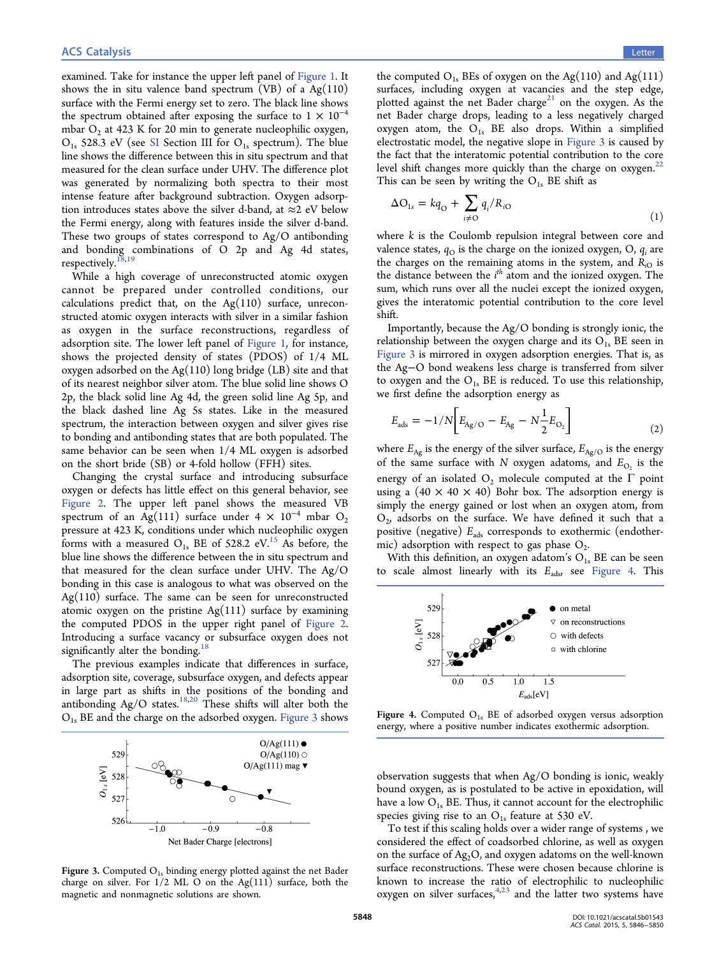<span id="page-2-0"></span>examined. Take for instance the upper left panel of [Figure 1.](#page-1-0) It shows the in situ valence band spectrum (VB) of a  $Ag(110)$ surface with the Fermi energy set to zero. The black line shows the spectrum obtained after exposing the surface to  $1 \times 10^{-4}$ mbar  $O_2$  at 423 K for 20 min to generate nucleophilic oxygen,  $O_{1s}$  528.3 eV (see [SI](http://pubs.acs.org/doi/suppl/10.1021/acscatal.5b01543/suppl_file/cs5b01543_si_001.pdf) Section III for  $O_{1s}$  spectrum). The blue line shows the difference between this in situ spectrum and that measured for the clean surface under UHV. The difference plot was generated by normalizing both spectra to their most intense feature after background subtraction. Oxygen adsorption introduces states above the silver d-band, at  $\approx$ 2 eV below the Fermi energy, along with features inside the silver d-band. These two groups of states correspond to Ag/O antibonding and bonding combinations of O 2p and Ag 4d states, respectively.<sup>[18](#page-4-0),[19](#page-4-0)</sup>

While a high coverage of unreconstructed atomic oxygen cannot be prepared under controlled conditions, our calculations predict that, on the  $Ag(110)$  surface, unreconstructed atomic oxygen interacts with silver in a similar fashion as oxygen in the surface reconstructions, regardless of adsorption site. The lower left panel of [Figure 1](#page-1-0), for instance, shows the projected density of states (PDOS) of 1/4 ML oxygen adsorbed on the Ag(110) long bridge (LB) site and that of its nearest neighbor silver atom. The blue solid line shows O 2p, the black solid line Ag 4d, the green solid line Ag 5p, and the black dashed line Ag 5s states. Like in the measured spectrum, the interaction between oxygen and silver gives rise to bonding and antibonding states that are both populated. The same behavior can be seen when 1/4 ML oxygen is adsorbed on the short bride (SB) or 4-fold hollow (FFH) sites.

Changing the crystal surface and introducing subsurface oxygen or defects has little effect on this general behavior, see [Figure 2.](#page-1-0) The upper left panel shows the measured VB spectrum of an Ag(111) surface under  $4 \times 10^{-4}$  mbar O<sub>2</sub> pressure at 423 K, conditions under which nucleophilic oxygen forms with a measured  $O_{1s}$  BE of 528.2 eV.<sup>[15](#page-4-0)</sup> As before, the blue line shows the difference between the in situ spectrum and that measured for the clean surface under UHV. The Ag/O bonding in this case is analogous to what was observed on the Ag(110) surface. The same can be seen for unreconstructed atomic oxygen on the pristine  $Ag(111)$  surface by examining the computed PDOS in the upper right panel of [Figure 2.](#page-1-0) Introducing a surface vacancy or subsurface oxygen does not significantly alter the bonding.<sup>[18](#page-4-0)</sup>

The previous examples indicate that differences in surface, adsorption site, coverage, subsurface oxygen, and defects appear in large part as shifts in the positions of the bonding and antibonding Ag/O states.<sup>[18](#page-4-0),[20](#page-4-0)</sup> These shifts will alter both the O1s BE and the charge on the adsorbed oxygen. Figure 3 shows



the computed  $O_{1s}$  BEs of oxygen on the Ag(110) and Ag(111) surfaces, including oxygen at vacancies and the step edge, plotted against the net Bader charge<sup>[21](#page-4-0)</sup> on the oxygen. As the net Bader charge drops, leading to a less negatively charged oxygen atom, the  $O_{1s}$  BE also drops. Within a simplified electrostatic model, the negative slope in Figure 3 is caused by the fact that the interatomic potential contribution to the core level shift changes more quickly than the charge on oxygen.<sup>[22](#page-4-0)</sup> This can be seen by writing the  $O_{1s}$  BE shift as

$$
\Delta O_{1s} = kq_O + \sum_{i \neq O} q_i / R_{iO} \tag{1}
$$

where  $k$  is the Coulomb repulsion integral between core and valence states,  $q_0$  is the charge on the ionized oxygen, O,  $q_i$  are the charges on the remaining atoms in the system, and  $R_{iO}$  is the distance between the  $i^{th}$  atom and the ionized oxygen. The sum, which runs over all the nuclei except the ionized oxygen, gives the interatomic potential contribution to the core level shift.

Importantly, because the Ag/O bonding is strongly ionic, the relationship between the oxygen charge and its  $O_{1s}$  BE seen in Figure 3 is mirrored in oxygen adsorption energies. That is, as the Ag−O bond weakens less charge is transferred from silver to oxygen and the  $O_{1s}$  BE is reduced. To use this relationship, we first define the adsorption energy as

$$
E_{\rm ads} = -1/N \bigg[ E_{\rm Ag/O} - E_{\rm Ag} - N \frac{1}{2} E_{\rm O_2} \bigg] \tag{2}
$$

where  $E_{Ag}$  is the energy of the silver surface,  $E_{Ag/O}$  is the energy of the same surface with N oxygen adatoms, and  $E<sub>O</sub>$  is the energy of an isolated  $O_2$  molecule computed at the  $\Gamma$  point using a  $(40 \times 40 \times 40)$  Bohr box. The adsorption energy is simply the energy gained or lost when an oxygen atom, from  $O<sub>2</sub>$ , adsorbs on the surface. We have defined it such that a positive (negative)  $E_{ads}$  corresponds to exothermic (endothermic) adsorption with respect to gas phase  $O_2$ .

With this definition, an oxygen adatom's  $O_{1s}$  BE can be seen to scale almost linearly with its  $E_{\text{ads}}$ , see Figure 4. This



Figure 4. Computed  $O_{1s}$  BE of adsorbed oxygen versus adsorption energy, where a positive number indicates exothermic adsorption.

observation suggests that when Ag/O bonding is ionic, weakly bound oxygen, as is postulated to be active in epoxidation, will have a low  $O_{1s}$  BE. Thus, it cannot account for the electrophilic species giving rise to an  $O_{1s}$  feature at 530 eV.

To test if this scaling holds over a wider range of systems , we considered the effect of coadsorbed chlorine, as well as oxygen on the surface of Ag<sub>2</sub>O, and oxygen adatoms on the well-known surface reconstructions. These were chosen because chlorine is known to increase the ratio of electrophilic to nucleophilic oxygen on silver surfaces,  $4,23$  $4,23$  $4,23$  and the latter two systems have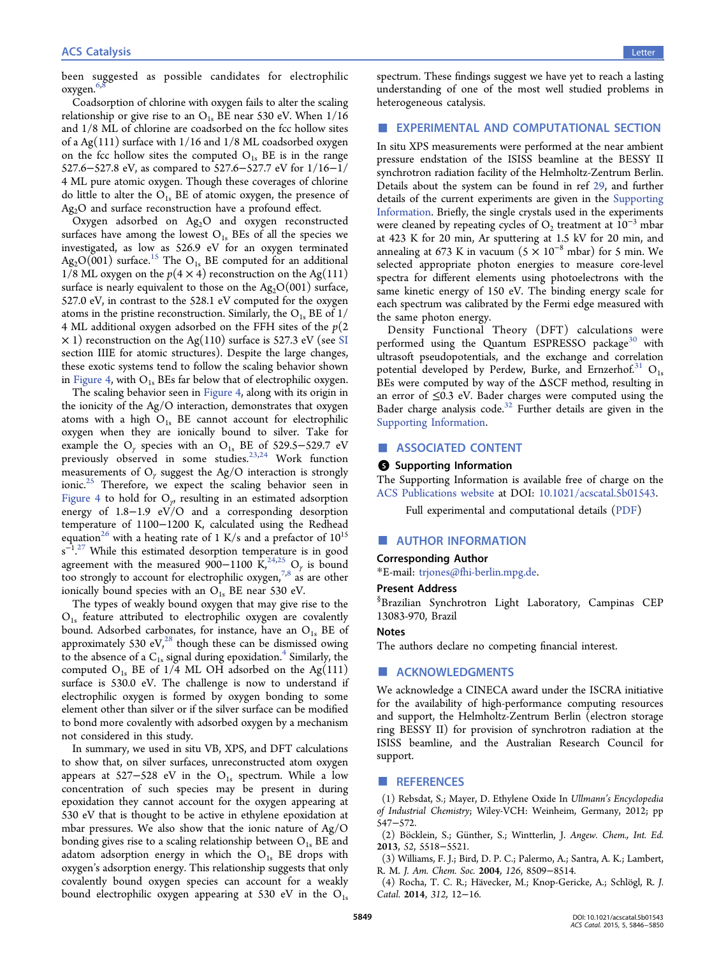<span id="page-3-0"></span>been suggested as possible candidates for electrophilic oxygen.<sup>6,</sup>

Coadsorption of chlorine with oxygen fails to alter the scaling relationship or give rise to an  $O_{1s}$  BE near 530 eV. When  $1/16$ and 1/8 ML of chlorine are coadsorbed on the fcc hollow sites of a Ag(111) surface with 1/16 and 1/8 ML coadsorbed oxygen on the fcc hollow sites the computed  $O<sub>1s</sub>$  BE is in the range 527.6−527.8 eV, as compared to 527.6−527.7 eV for 1/16−1/ 4 ML pure atomic oxygen. Though these coverages of chlorine do little to alter the  $O_{1s}$  BE of atomic oxygen, the presence of Ag<sub>2</sub>O and surface reconstruction have a profound effect.

Oxygen adsorbed on Ag2O and oxygen reconstructed surfaces have among the lowest  $O<sub>1s</sub>$  BEs of all the species we investigated, as low as 526.9 eV for an oxygen terminated  $\text{Ag}_2\text{O}(001)$  surface.<sup>[15](#page-4-0)</sup> The O<sub>1s</sub> BE computed for an additional 1/8 ML oxygen on the  $p(4 \times 4)$  reconstruction on the Ag(111) surface is nearly equivalent to those on the  $Ag<sub>2</sub>O(001)$  surface, 527.0 eV, in contrast to the 528.1 eV computed for the oxygen atoms in the pristine reconstruction. Similarly, the  $O_{1s}$  BE of  $1/$ 4 ML additional oxygen adsorbed on the FFH sites of the  $p(2)$  $\times$  1) reconstruction on the Ag(110) surface is 527.3 eV (see [SI](http://pubs.acs.org/doi/suppl/10.1021/acscatal.5b01543/suppl_file/cs5b01543_si_001.pdf) section IIIE for atomic structures). Despite the large changes, these exotic systems tend to follow the scaling behavior shown in [Figure 4,](#page-2-0) with  $O_{1s}$  BEs far below that of electrophilic oxygen.

The scaling behavior seen in [Figure 4,](#page-2-0) along with its origin in the ionicity of the Ag/O interaction, demonstrates that oxygen atoms with a high  $O_{1s}$  BE cannot account for electrophilic oxygen when they are ionically bound to silver. Take for example the  $O_\nu$  species with an  $O_{1s}$  BE of 529.5−529.7 eV previously observed in some studies.[23,24](#page-4-0) Work function measurements of  $O_\gamma$  suggest the Ag/O interaction is strongly ionic.<sup>[25](#page-4-0)</sup> Therefore, we expect the scaling behavior seen in [Figure 4](#page-2-0) to hold for  $O_{\nu}$ , resulting in an estimated adsorption energy of 1.8−1.9 eV/O and a corresponding desorption temperature of 1100−1200 K, calculated using the Redhead equation<sup>[26](#page-4-0)</sup> with a heating rate of 1 K/s and a prefactor of  $10^{15}$ s<sup>-1</sup>.<sup>[27](#page-4-0)</sup> While this estimated desorption temperature is in good . agreement with the measured 900−1100  $\hat{K}^{24,25}$  $\hat{K}^{24,25}$  $\hat{K}^{24,25}$  O<sub>γ</sub> is bound too strongly to account for electrophilic oxygen,  $7,8$  as are other ionically bound species with an  $O_{1s}$  BE near 530 eV.

The types of weakly bound oxygen that may give rise to the  $O<sub>1s</sub>$  feature attributed to electrophilic oxygen are covalently bound. Adsorbed carbonates, for instance, have an  $O<sub>1s</sub>$  BE of approximately 530 eV, $^{28}$  $^{28}$  $^{28}$  though these can be dismissed owing to the absence of a  $C_{1s}$  signal during epoxidation.<sup>4</sup> Similarly, the computed  $O_{1s}$  BE of 1/4 ML OH adsorbed on the Ag(111) surface is 530.0 eV. The challenge is now to understand if electrophilic oxygen is formed by oxygen bonding to some element other than silver or if the silver surface can be modified to bond more covalently with adsorbed oxygen by a mechanism not considered in this study.

In summary, we used in situ VB, XPS, and DFT calculations to show that, on silver surfaces, unreconstructed atom oxygen appears at 527-528 eV in the  $O_{1s}$  spectrum. While a low concentration of such species may be present in during epoxidation they cannot account for the oxygen appearing at 530 eV that is thought to be active in ethylene epoxidation at mbar pressures. We also show that the ionic nature of Ag/O bonding gives rise to a scaling relationship between  $O_{1s}$  BE and adatom adsorption energy in which the  $O_{1s}$  BE drops with oxygen's adsorption energy. This relationship suggests that only covalently bound oxygen species can account for a weakly bound electrophilic oxygen appearing at 530 eV in the  $O_{1s}$ 

spectrum. These findings suggest we have yet to reach a lasting understanding of one of the most well studied problems in heterogeneous catalysis.

# **EXPERIMENTAL AND COMPUTATIONAL SECTION**

In situ XPS measurements were performed at the near ambient pressure endstation of the ISISS beamline at the BESSY II synchrotron radiation facility of the Helmholtz-Zentrum Berlin. Details about the system can be found in ref [29](#page-4-0), and further details of the current experiments are given in the [Supporting](http://pubs.acs.org/doi/suppl/10.1021/acscatal.5b01543/suppl_file/cs5b01543_si_001.pdf) [Information.](http://pubs.acs.org/doi/suppl/10.1021/acscatal.5b01543/suppl_file/cs5b01543_si_001.pdf) Briefly, the single crystals used in the experiments were cleaned by repeating cycles of  $O_2$  treatment at  $10^{-3}$  mbar at 423 K for 20 min, Ar sputtering at 1.5 kV for 20 min, and annealing at 673 K in vacuum (5  $\times$  10<sup>-8</sup> mbar) for 5 min. We selected appropriate photon energies to measure core-level spectra for different elements using photoelectrons with the same kinetic energy of 150 eV. The binding energy scale for each spectrum was calibrated by the Fermi edge measured with the same photon energy.

Density Functional Theory (DFT) calculations were performed using the Quantum ESPRESSO package<sup>[30](#page-4-0)</sup> with ultrasoft pseudopotentials, and the exchange and correlation potential developed by Perdew, Burke, and Ernzerhof. $^{31}$  $^{31}$  $^{31}$  O<sub>1s</sub> BEs were computed by way of the ΔSCF method, resulting in an error of ≤0.3 eV. Bader charges were computed using the Bader charge analysis code. $32$  Further details are given in the [Supporting Information](http://pubs.acs.org/doi/suppl/10.1021/acscatal.5b01543/suppl_file/cs5b01543_si_001.pdf).

# ■ ASSOCIATED CONTENT

#### **S** Supporting Information

The Supporting Information is available free of charge on the [ACS Publications website](http://pubs.acs.org) at DOI: [10.1021/acscatal.5b01543.](http://pubs.acs.org/doi/abs/10.1021/acscatal.5b01543)

Full experimental and computational details [\(PDF](http://pubs.acs.org/doi/suppl/10.1021/acscatal.5b01543/suppl_file/cs5b01543_si_001.pdf))

### ■ AUTHOR INFORMATION

#### Corresponding Author

\*E-mail: [trjones@fhi-berlin.mpg.de](mailto:trjones@fhi-berlin.mpg.de).

#### Present Address

§ Brazilian Synchrotron Light Laboratory, Campinas CEP 13083-970, Brazil

#### Notes

The authors declare no competing financial interest.

# ■ ACKNOWLEDGMENTS

We acknowledge a CINECA award under the ISCRA initiative for the availability of high-performance computing resources and support, the Helmholtz-Zentrum Berlin (electron storage ring BESSY II) for provision of synchrotron radiation at the ISISS beamline, and the Australian Research Council for support.

#### ■ REFERENCES

(1) Rebsdat, S.; Mayer, D. Ethylene Oxide In Ullmann's Encyclopedia of Industrial Chemistry; Wiley-VCH: Weinheim, Germany, 2012; pp 547−572.

(2) Bö cklein, S.; Gü nther, S.; Wintterlin, J. Angew. Chem., Int. Ed. 2013, 52, 5518−5521.

(3) Williams, F. J.; Bird, D. P. C.; Palermo, A.; Santra, A. K.; Lambert, R. M. J. Am. Chem. Soc. 2004, 126, 8509-8514.

(4) Rocha, T. C. R.; Hävecker, M.; Knop-Gericke, A.; Schlögl, R. J. Catal. 2014, 312, 12−16.